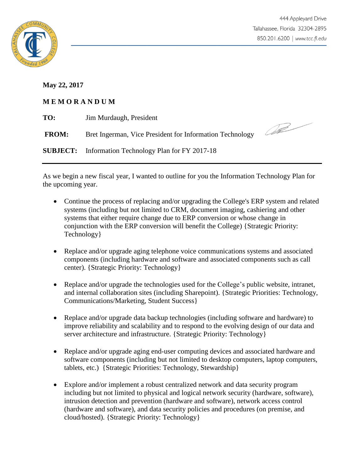

**May 22, 2017**

## **M E M O R A N D U M**

| TO:          | Jim Murdaugh, President                                    |               |
|--------------|------------------------------------------------------------|---------------|
| <b>FROM:</b> | Bret Ingerman, Vice President for Information Technology   | <b>Seller</b> |
|              | <b>SUBJECT:</b> Information Technology Plan for FY 2017-18 |               |

As we begin a new fiscal year, I wanted to outline for you the Information Technology Plan for the upcoming year.

- Continue the process of replacing and/or upgrading the College's ERP system and related systems (including but not limited to CRM, document imaging, cashiering and other systems that either require change due to ERP conversion or whose change in conjunction with the ERP conversion will benefit the College) {Strategic Priority: Technology}
- Replace and/or upgrade aging telephone voice communications systems and associated components (including hardware and software and associated components such as call center). {Strategic Priority: Technology}
- Replace and/or upgrade the technologies used for the College's public website, intranet, and internal collaboration sites (including Sharepoint). {Strategic Priorities: Technology, Communications/Marketing, Student Success}
- Replace and/or upgrade data backup technologies (including software and hardware) to improve reliability and scalability and to respond to the evolving design of our data and server architecture and infrastructure. {Strategic Priority: Technology}
- Replace and/or upgrade aging end-user computing devices and associated hardware and software components (including but not limited to desktop computers, laptop computers, tablets, etc.) {Strategic Priorities: Technology, Stewardship}
- Explore and/or implement a robust centralized network and data security program including but not limited to physical and logical network security (hardware, software), intrusion detection and prevention (hardware and software), network access control (hardware and software), and data security policies and procedures (on premise, and cloud/hosted). {Strategic Priority: Technology}